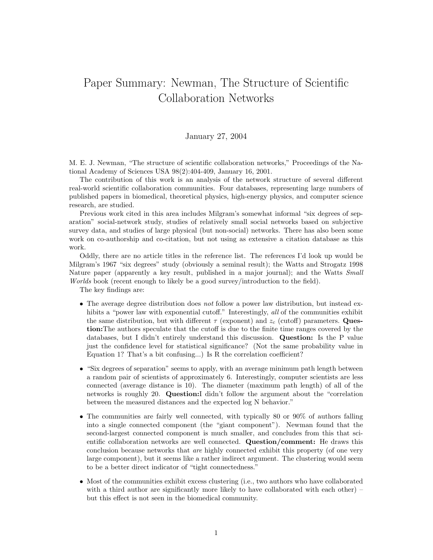## Paper Summary: Newman, The Structure of Scientific Collaboration Networks

## January 27, 2004

M. E. J. Newman, "The structure of scientific collaboration networks," Proceedings of the National Academy of Sciences USA 98(2):404-409, January 16, 2001.

The contribution of this work is an analysis of the network structure of several different real-world scientific collaboration communities. Four databases, representing large numbers of published papers in biomedical, theoretical physics, high-energy physics, and computer science research, are studied.

Previous work cited in this area includes Milgram's somewhat informal "six degrees of separation" social-network study, studies of relatively small social networks based on subjective survey data, and studies of large physical (but non-social) networks. There has also been some work on co-authorship and co-citation, but not using as extensive a citation database as this work.

Oddly, there are no article titles in the reference list. The references I'd look up would be Milgram's 1967 "six degrees" study (obviously a seminal result); the Watts and Strogatz 1998 Nature paper (apparently a key result, published in a major journal); and the Watts Small Worlds book (recent enough to likely be a good survey/introduction to the field).

The key findings are:

- The average degree distribution does not follow a power law distribution, but instead exhibits a "power law with exponential cutoff." Interestingly, all of the communities exhibit the same distribution, but with different  $\tau$  (exponent) and  $z_c$  (cutoff) parameters. **Ques**tion:The authors speculate that the cutoff is due to the finite time ranges covered by the databases, but I didn't entirely understand this discussion. Question: Is the P value just the confidence level for statistical significance? (Not the same probability value in Equation 1? That's a bit confusing...) Is R the correlation coefficient?
- "Six degrees of separation" seems to apply, with an average minimum path length between a random pair of scientists of approximately 6. Interestingly, computer scientists are less connected (average distance is 10). The diameter (maximum path length) of all of the networks is roughly 20. Question:I didn't follow the argument about the "correlation between the measured distances and the expected log N behavior."
- The communities are fairly well connected, with typically 80 or 90% of authors falling into a single connected component (the "giant component"). Newman found that the second-largest connected component is much smaller, and concludes from this that scientific collaboration networks are well connected. Question/comment: He draws this conclusion because networks that *are* highly connected exhibit this property (of one very large component), but it seems like a rather indirect argument. The clustering would seem to be a better direct indicator of "tight connectedness."
- Most of the communities exhibit excess clustering (i.e., two authors who have collaborated with a third author are significantly more likely to have collaborated with each other) – but this effect is not seen in the biomedical community.